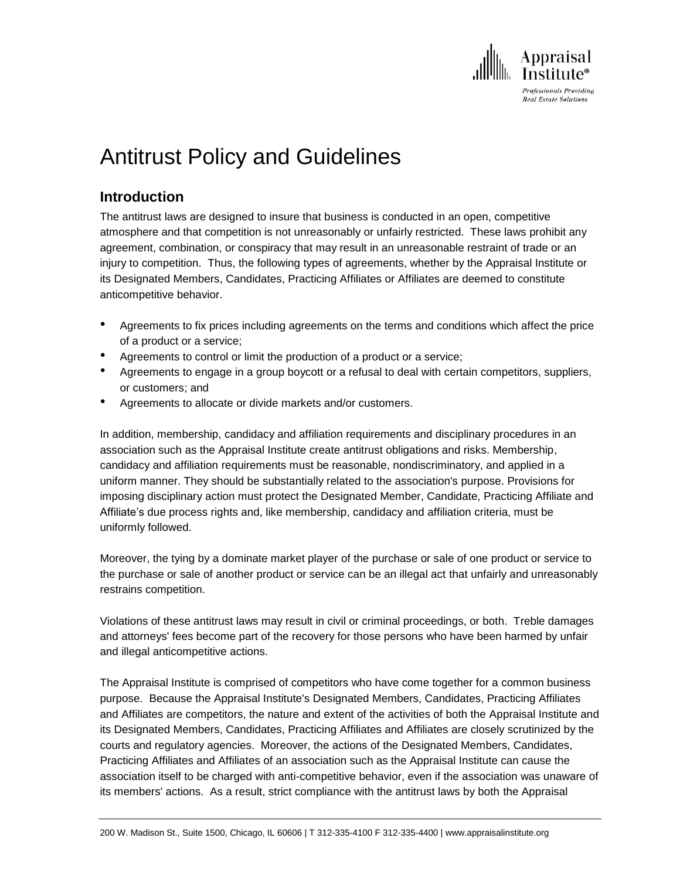

# Antitrust Policy and Guidelines

#### **Introduction**

The antitrust laws are designed to insure that business is conducted in an open, competitive atmosphere and that competition is not unreasonably or unfairly restricted. These laws prohibit any agreement, combination, or conspiracy that may result in an unreasonable restraint of trade or an injury to competition. Thus, the following types of agreements, whether by the Appraisal Institute or its Designated Members, Candidates, Practicing Affiliates or Affiliates are deemed to constitute anticompetitive behavior.

- Agreements to fix prices including agreements on the terms and conditions which affect the price of a product or a service;
- Agreements to control or limit the production of a product or a service;
- Agreements to engage in a group boycott or a refusal to deal with certain competitors, suppliers, or customers; and
- Agreements to allocate or divide markets and/or customers.

In addition, membership, candidacy and affiliation requirements and disciplinary procedures in an association such as the Appraisal Institute create antitrust obligations and risks. Membership, candidacy and affiliation requirements must be reasonable, nondiscriminatory, and applied in a uniform manner. They should be substantially related to the association's purpose. Provisions for imposing disciplinary action must protect the Designated Member, Candidate, Practicing Affiliate and Affiliate's due process rights and, like membership, candidacy and affiliation criteria, must be uniformly followed.

Moreover, the tying by a dominate market player of the purchase or sale of one product or service to the purchase or sale of another product or service can be an illegal act that unfairly and unreasonably restrains competition.

Violations of these antitrust laws may result in civil or criminal proceedings, or both. Treble damages and attorneys' fees become part of the recovery for those persons who have been harmed by unfair and illegal anticompetitive actions.

The Appraisal Institute is comprised of competitors who have come together for a common business purpose. Because the Appraisal Institute's Designated Members, Candidates, Practicing Affiliates and Affiliates are competitors, the nature and extent of the activities of both the Appraisal Institute and its Designated Members, Candidates, Practicing Affiliates and Affiliates are closely scrutinized by the courts and regulatory agencies. Moreover, the actions of the Designated Members, Candidates, Practicing Affiliates and Affiliates of an association such as the Appraisal Institute can cause the association itself to be charged with anti-competitive behavior, even if the association was unaware of its members' actions. As a result, strict compliance with the antitrust laws by both the Appraisal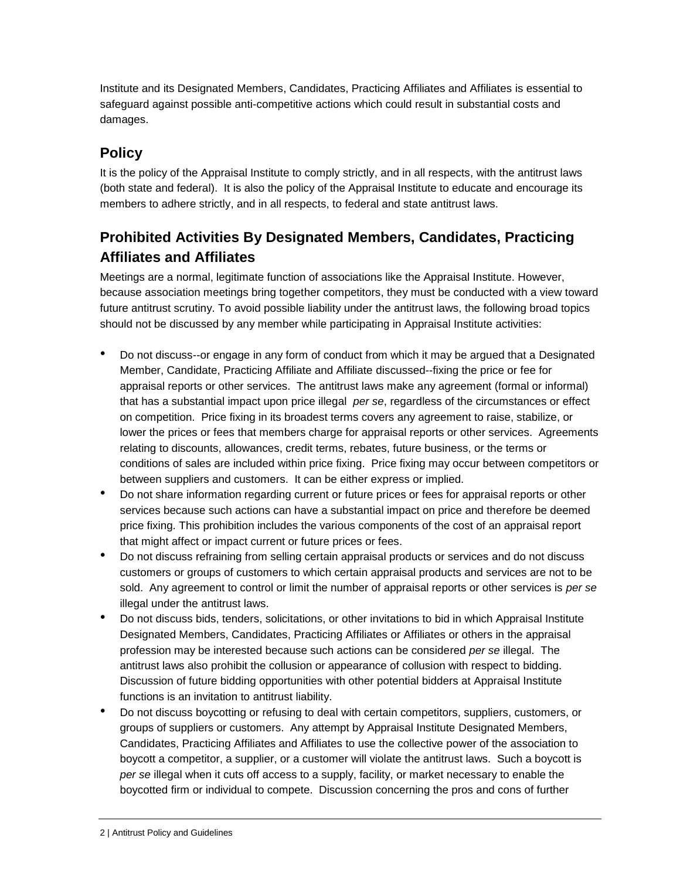Institute and its Designated Members, Candidates, Practicing Affiliates and Affiliates is essential to safeguard against possible anti-competitive actions which could result in substantial costs and damages.

## **Policy**

It is the policy of the Appraisal Institute to comply strictly, and in all respects, with the antitrust laws (both state and federal). It is also the policy of the Appraisal Institute to educate and encourage its members to adhere strictly, and in all respects, to federal and state antitrust laws.

### **Prohibited Activities By Designated Members, Candidates, Practicing Affiliates and Affiliates**

Meetings are a normal, legitimate function of associations like the Appraisal Institute. However, because association meetings bring together competitors, they must be conducted with a view toward future antitrust scrutiny. To avoid possible liability under the antitrust laws, the following broad topics should not be discussed by any member while participating in Appraisal Institute activities:

- Do not discuss--or engage in any form of conduct from which it may be argued that a Designated Member, Candidate, Practicing Affiliate and Affiliate discussed--fixing the price or fee for appraisal reports or other services. The antitrust laws make any agreement (formal or informal) that has a substantial impact upon price illegal *per se*, regardless of the circumstances or effect on competition. Price fixing in its broadest terms covers any agreement to raise, stabilize, or lower the prices or fees that members charge for appraisal reports or other services. Agreements relating to discounts, allowances, credit terms, rebates, future business, or the terms or conditions of sales are included within price fixing. Price fixing may occur between competitors or between suppliers and customers. It can be either express or implied.
- Do not share information regarding current or future prices or fees for appraisal reports or other services because such actions can have a substantial impact on price and therefore be deemed price fixing. This prohibition includes the various components of the cost of an appraisal report that might affect or impact current or future prices or fees.
- Do not discuss refraining from selling certain appraisal products or services and do not discuss customers or groups of customers to which certain appraisal products and services are not to be sold. Any agreement to control or limit the number of appraisal reports or other services is *per se* illegal under the antitrust laws.
- Do not discuss bids, tenders, solicitations, or other invitations to bid in which Appraisal Institute Designated Members, Candidates, Practicing Affiliates or Affiliates or others in the appraisal profession may be interested because such actions can be considered *per se* illegal. The antitrust laws also prohibit the collusion or appearance of collusion with respect to bidding. Discussion of future bidding opportunities with other potential bidders at Appraisal Institute functions is an invitation to antitrust liability.
- Do not discuss boycotting or refusing to deal with certain competitors, suppliers, customers, or groups of suppliers or customers. Any attempt by Appraisal Institute Designated Members, Candidates, Practicing Affiliates and Affiliates to use the collective power of the association to boycott a competitor, a supplier, or a customer will violate the antitrust laws. Such a boycott is *per se* illegal when it cuts off access to a supply, facility, or market necessary to enable the boycotted firm or individual to compete. Discussion concerning the pros and cons of further